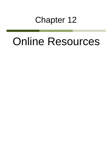# Chapter 12

# Online Resources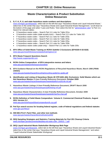### **Waste Characterization & Product Substitution Online Resources**

#### **1. D, F, K, P, U, and state hazardous waste numbers and descriptions**

[www.michigan.gov/deqwaste,](http://www.michigan.gov/deqwaste) select tab on the left that says "Hazardous Waste and Liquid Industrial Waste," select box in the center that says "Hazardous Waste and Liquid Industrial Waste Management," scroll down to the bottom of the page and select "Laws and Rules," then select the link for ["administrative rules"](http://www.michigan.gov/documents/deq/deq-whm-hwp-Part111Rules_248146_7.pdf) to Part 111. Search for relevant tables:

- D hazardous waste codes Search Part 111 rules for Table 201a
- S hazardous waste codes (state acutely toxic) Search Part 111 rules for Table 202
- F hazardous waste codes Search Part 111 rules for Table 203a
- K hazardous waste codes Search Part 111 rules for Table 204a
- P hazardous waste codes Search Part 111 rules for Table 205a
- U hazardous waste codes Search Part 111 rules for Table 205b
- U hazardous waste codes (state only) Search Part 111 rules for Table 205c
- **2. EPA Office of Solid Waste Training on RCRA Subtitle C Exclusions (EPA530-K-02-022I)** [www.epa.gov/osw/inforesources/pubs/training/excl.txt](http://www.epa.gov/osw/inforesources/pubs/training/excl.txt)
- **3. EPA Waste Frequent Questions Search** [http://waste.supportportal.com](http://waste.supportportal.com/)
- **4. RCRA Online Compendium of EPA interpretive memos and letters**  [www.epa.gov/wastes/inforesources/online/](http://www.epa.gov/wastes/inforesources/online/)
- **5. EPA Guidance Manual on the RCRA Regulations of Recycled Hazardous Waste, March 1986 (PB86- 208584)**

[www.epa.gov/wastes/hazard/recycling/recycling-guide/rec-guide.pdf](http://www.epa.gov/wastes/hazard/recycling/recycling-guide/rec-guide.pdf)

- **6. Identification and Listing of Hazardous Waste 40 CFR §261.4(b): Exclusions: Solid Wastes which are Not Hazardous Wastes A User-Friendly Reference Document, October 2009** [www.epa.gov/wastes/hazard/wastetypes/wasteid/pdfs/rcra2614b-ref.pdf](http://www.epa.gov/wastes/hazard/wastetypes/wasteid/pdfs/rcra2614b-ref.pdf)
- **7. Hazardous Waste Listings A User-Friendly Reference Document, DRAFT March 2008** [www.epa.gov/wastes/hazard/wastetypes/pdfs/listing-ref.pdf](http://www.epa.gov/wastes/hazard/wastetypes/pdfs/listing-ref.pdf)
- **8. Hazardous Waste Characteristics A User-Friendly Reference Document, October 2009** [www.epa.gov/wastes/hazard/wastetypes/wasteid/char/hw-char.pdf](http://www.epa.gov/wastes/hazard/wastetypes/wasteid/char/hw-char.pdf)
- **9. RCRA Definition of Solid Waste Compendium Volume K: Commercial Chemical Products, August 2011 Version 2.2** [www.epa.gov/osw/hazard/dsw/compendium/k-ccp.pdf](http://www.epa.gov/osw/hazard/dsw/compendium/k-ccp.pdf)
- **10. Fed Sys search access for locating federal register, code of federal regulations and federal statutes** [www.gpo.gov/fdsys/](http://www.gpo.gov/fdsys/)
- **11. SW-846 (TCLP, Paint Filter, and other test methods** [www.epa.gov/wastes/hazard/testmethods/sw846/](http://www.epa.gov/wastes/hazard/testmethods/sw846/)
- **12. DEQ Sampling Strategies and Statistics Training Materials for Part 201 Cleanup Criteria** [www.michigan.gov/documents/deq/deq-erd-stats-s3tm\\_250015\\_7.pdf](http://www.michigan.gov/documents/deq/deq-erd-stats-s3tm_250015_7.pdf)

#### **13. DEQ Liquid Industrial Waste Stakeholder Workgroup Web Page**

[www.michigan.go](http://www.michigan.gov/deqwaste)v/deqwaste, select tab on the left that says "Hazardous Waste and Liquid Industrial Waste," select box in the center that says "Hazardous Waste and Liquid Industrial Waste Management," and select "Liquid Industrial Waste Stakeholder Workgroup"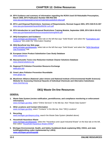- **14. EPA Guidance and summary of information regarding the RCRA Used Oil Rebuttable Presumption, March 2005, EPA Publication Number 905-R03-005** [www.epa.gov/epawaste/conserve/materials/usedoil/oil-rebut.pdf](http://www.epa.gov/epawaste/conserve/materials/usedoil/oil-rebut.pdf)
- **15. EPA Land Disposal Restrictions: Summary of Requirements, Revised August 2001, EPA 530-R-01-007** [www.epa.gov/epawaste/hazard/tsd/ldr/ldr-sum.pdf](http://www.epa.gov/epawaste/hazard/tsd/ldr/ldr-sum.pdf)
- **16. EPA Introduction to Land Disposal Restrictions Training Module, September 2005, EPA 530-K-05-013** [www.epa.gov/epawaste/inforesources/pubs/training/ldr05.pdf](http://www.epa.gov/epawaste/inforesources/pubs/training/ldr05.pdf)
- **17. DEQ Exemptions and Guidance** [www.michigan.gov/deqwaste,](http://www.michigan.gov/deqwaste) select tab on the left that says "Solid Waste" and select the "Exemptions and [Guidance"](http://www.michigan.gov/deq/0,4561,7-135-3312_4123-14201--,00.html) link under the "Information Heading"
- **18. DEQ Beneficial Use Web page** [www.michgian.gov/deqwaste,](http://www.michgian.gov/deqwaste) select tab on the left that says "Solid Waste" and select the "NEW [Beneficial](http://www.michigan.gov/deq/0,4561,7-135-3312_4123-336759--,00.html)  [Use Provisions"](http://www.michigan.gov/deq/0,4561,7-135-3312_4123-336759--,00.html) link
- **19. European Union Product Substitution Case Study Database** [www.subsport.eu](http://www.subsport.eu/)
- **20. Massachusetts Toxics Use Reduction Institute Cleaner Solutions Database** [www.cleanersolutions.org](http://www.cleanersolutions.org/)
- **21. Regional P2 Pollution Prevention Resource Exchange**  [www.p2rx.org](http://www.p2rx.org/)
- **22. Great Lakes Pollution Prevention Roundtable** [www.glrppr.org](http://www.glrppr.org/)
- **23. BlueGreen Alliance (National Labor Unions and National Institute of Environmental Health Sciences) Website for Assessing Chemical Hazards of Individual Chemicals and Alternative Substitutes** [www.chemhat.org](http://www.chemhat.org/)

## **DEQ Waste On-line Resources**

#### **GENERAL**

**1. Waste Data System (review notification, permit/license, and compliance monitoring or enforcement information)**

[www.michigan.gov/deq,](http://www.michigan.gov/deqwaste) select "Online Services" in the title bar, then "Waste Data System"

- **2. DEQ Locations and Contact Information**  [www.michigan.gov/deq,](http://www.michigan.gov/deqwaste) select "Contacts" in the title bar, then "DEQ Locations"
- **3. Recycling** [www.michigan.gov/deqrecycling](http://www.michigan.gov/deqrecycling)**,** search the Waste Data System (detailed above)
- **4. Household Hazardous Waste**  [www.michigan.gov/deqwaste,](http://www.michigan.gov/deqwaste) select the "Hazardous and Liquid Industrial Waste" on the blue tab on the left, then select ["Household Hazardous Waste \(HHW\)](http://www.michigan.gov/deq/0,4561,7-135-3312_4118-70304--,00.html)**"**
- **5. Michigan Environmental, Health, and Safety Guidebook (book explaining DEQ, OSHA, and state building/plumbing codes implemented by LARA) [www.michigan.gov/ehsguide](http://www.michigan.gov/ehsguide)**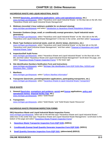#### **HAZARDOUS WASTE AND LIQUID INDUSTRIAL WASTE**

- **1. General [\(laws/rules, permit/license applications,](http://www.michigan.gov/deq/0,4561,7-135-3312_4118_4240-9167--,00.html) [policy and operational memos,](http://www.michigan.gov/deq/0,4561,7-135-3312_4118_4240-192585--,00.html) etc.)** [www.michigan.gov/deqwaste,](http://www.michigan.gov/deqwaste) select "Hazardous and Liquid Industrial Waste," on the blue tab on the left, then "Hazardous Waste and Liquid Industrial Waste Management"
- **2. Webinars (recorded 1-hour webinars available for on-demand viewing)** [www.michigan.gov/deqwaste](http://www.michigan.gov/deqwaste) and select ["Introduction to Hazardous Waste Regulations Webinars"](http://www.michigan.gov/deq/0,4561,7-135-3308_3333-264752--,00.html)
- **3. Generator Guidance (large, small, or conditionally exempt generators, liquid industrial waste generators)**

www.michigan.gov/degwaste, select "Hazardous and Liquid Industrial Waste" on the blue tab on the left, "Hazardous and Liquid Industrial Waste Management" in the box in the center, and then select ["Generators"](http://www.michigan.gov/deq/0,4561,7-135-3312_4118_4240-8984--,00.html)

- **4. Waste Type Guidance (universal waste, used oil, electric lamps, electronics, etc.)**  [www.michigan.gov/deqwaste,](http://www.michigan.gov/deqwaste) select "Hazardous and Liquid Industrial Waste" on the blue tab on the left, "Hazardous and Liquid Industrial Waste Management," and then select ["Disposal of Hazardous and Liquid](http://www.michigan.gov/deq/0,4561,7-135-3312_4118_4240-8988--,00.html)  [Industrial Waste Types"](http://www.michigan.gov/deq/0,4561,7-135-3312_4118_4240-8988--,00.html)
- **5. Inspection/Self Audit Forms**

[www.michigan.gov/deqwaste,](http://www.michigan.gov/deqwaste) select "Hazardous Waste and Liquid Industrial Waste" on the blue tab on the left, and then select "Hazardous Waste and Liquid Industrial Waste Management" Scroll down the page, and select ["Hazardous Waste Program Inspection Forms"](http://www.michigan.gov/deq/0,4561,7-135-3312_4118_4240-9203--,00.html) in the lower right

- **6. Site Identification Numbers Notification Form and Instructions**  [www.michigan.gov/deqwaste,](http://www.michigan.gov/deqwaste) select ["Michigan Site Identification Form EQP 5150 \(Rev. 5/2010\) and](http://www.michigan.gov/deq/0,1607,7-135-3312_4118_4240-9198--,00.html)  [Directions \(Rev. 7/2005\)"](http://www.michigan.gov/deq/0,1607,7-135-3312_4118_4240-9198--,00.html)
- **7. Manifests** [www.michigan.gov/deqwaste,](http://www.michigan.gov/deqwaste) select ["Uniform Manifest Information"](http://www.michigan.gov/deq/0,4561,7-135-3312-150978--,00.html)
- **8. Transporter (laws/rules, permit/registration applications, participating transporters, etc.)** [www.michigan.gov/deqwaste,](http://www.michigan.gov/deqwaste) select ["Hazardous Waste & Liquid Industrial Waste Transporters"](http://www.michigan.gov/deq/0,4561,7-135-3312_7235---,00.html)

#### **SOLID WASTE**

- **1. General [\(laws/rules,](http://www.michigan.gov/deq/0,4561,7-135-3312_4123-9861--,00.html) [exemptions and guidance,](http://www.michigan.gov/deq/0,4561,7-135-3312_4123-14201--,00.html) [permit](http://www.michigan.gov/deq/0,4561,7-135-3312_4123-9865--,00.html) and [license](http://www.michigan.gov/deq/0,4561,7-135-3312_4123-53507--,00.html) applications, [policy and](http://www.michigan.gov/deq/0,4561,7-135-3312_4123-9890--,00.html)  [operational memos,](http://www.michigan.gov/deq/0,4561,7-135-3312_4123-9890--,00.html) [disposal facility map,](http://www.michigan.gov/deq/0,4561,7-135-3312_4123-9894--,00.html) etc.)** [www.michigan.gov/deqwaste,](http://www.michigan.gov/deqwaste) select "Solid Waste"
- **2. Transporters** [www.michigan.gov/deqwaste,](http://www.michigan.gov/deqwaste) select "Solid Waste," and "Solid Waste Hauler Resources"

#### **HAZARDOUS WASTE PROGRAM INSPECTION FORMS**

#### **DEQ Hazardous Waste and Liquid Industrial Waste Inspection Forms**

[www.michigan.gov/deqwaste,](http://www.michigan.gov/deqwaste) select tab on the left that says "Hazardous Waste and Liquid Industrial Waste," select box in the center that says "Hazardous Waste and Liquid Industrial Waste Management," scroll down to the bottom of the page and select ["Hazardous Waste Program Inspection Forms"](http://www.michigan.gov/deq/0,4561,7-135-3312_4118_4240-9203--,00.html)

- **1. [Hazardous Waste Transporter Inspection Form EQP 5159,](http://www.michigan.gov/documents/deq/deq-whm-hwp-eqp5159_248864_7.pdf) (3/2011)**
- **2. [Conditionally Exempt Small Quantity Generator Inspection Form EQP 5160,](http://www.michigan.gov/documents/deq/deq-whm-hwp-eqp5160_248866_7.pdf) (3/2011)**
- **3. [Small Quantity Generator Inspection Form EQP 5161,](http://www.michigan.gov/documents/deq/deq-whm-hwp-eqp5161_248868_7.pdf) (abbreviated) (8/2013)**